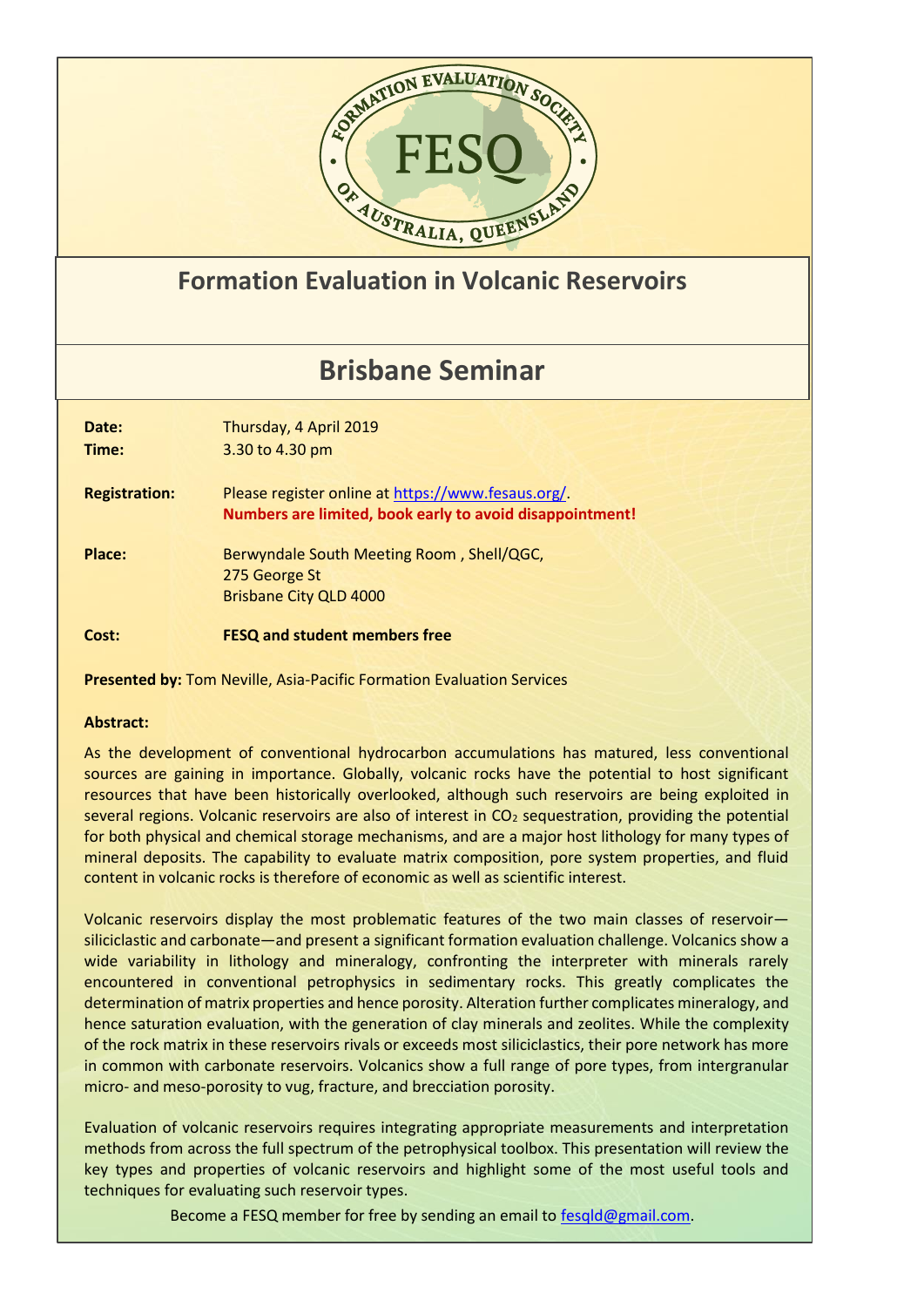

## **Formation Evaluation in Volcanic Reservoirs**

## **Brisbane Seminar**

**Date:** Thursday, 4 April 2019 **Time:** 3.30 to 4.30 pm **Registration:** Please register online a[t https://www.fesaus.org/.](https://www.fesaus.org/) **Numbers are limited, book early to avoid disappointment!** Place: Berwyndale South Meeting Room, Shell/QGC, 275 George St Brisbane City QLD 4000 **Cost: FESQ and student members free**

**Presented by:** Tom Neville, Asia-Pacific Formation Evaluation Services

## **Abstract:**

As the development of conventional hydrocarbon accumulations has matured, less conventional sources are gaining in importance. Globally, volcanic rocks have the potential to host significant resources that have been historically overlooked, although such reservoirs are being exploited in several regions. Volcanic reservoirs are also of interest in CO<sub>2</sub> sequestration, providing the potential for both physical and chemical storage mechanisms, and are a major host lithology for many types of mineral deposits. The capability to evaluate matrix composition, pore system properties, and fluid content in volcanic rocks is therefore of economic as well as scientific interest.

Volcanic reservoirs display the most problematic features of the two main classes of reservoir siliciclastic and carbonate—and present a significant formation evaluation challenge. Volcanics show a wide variability in lithology and mineralogy, confronting the interpreter with minerals rarely encountered in conventional petrophysics in sedimentary rocks. This greatly complicates the determination of matrix properties and hence porosity. Alteration further complicates mineralogy, and hence saturation evaluation, with the generation of clay minerals and zeolites. While the complexity of the rock matrix in these reservoirs rivals or exceeds most siliciclastics, their pore network has more in common with carbonate reservoirs. Volcanics show a full range of pore types, from intergranular micro- and meso-porosity to vug, fracture, and brecciation porosity.

Evaluation of volcanic reservoirs requires integrating appropriate measurements and interpretation methods from across the full spectrum of the petrophysical toolbox. This presentation will review the key types and properties of volcanic reservoirs and highlight some of the most useful tools and techniques for evaluating such reservoir types.

Become a FESQ member for free by sending an email to [fesqld@gmail.com.](mailto:fesqld@gmail.com)